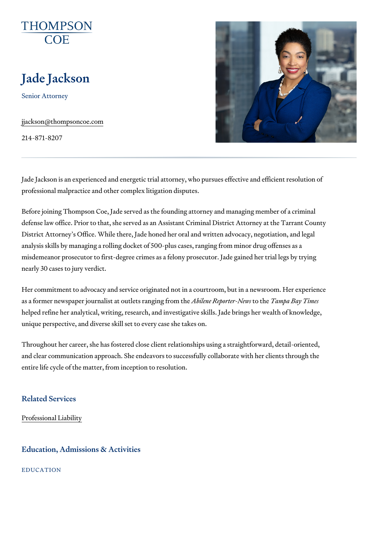# Jade Jackson

Senior Attorney

[jjackson@thomps](mailto:jjackson@thompsoncoe.com)oncoe.com

214-871-8207

Jade Jackson is an experienced and energetic trial attorney, who pursues professional malpractice and other complex litigation disputes.

Before joining Thompson Coe, Jade served as the founding attorney and m defense law office. Prior to that, she served as an Assistant Criminal Dist District Attorney s Office. While there, Jade honed her oral and written ad analysis skills by managing a rolling docket of 500-plus cases, ranging fro misdemeanor prosecutor to first-degree crimes as a felony prosecutor. Jad nearly 30 cases to jury verdict.

Her commitment to advocacy and service originated not in a courtroom, but as a former newspaper journalist at Abbuitleente. Rænpopinttoop the Monomorgah eBay Times helped refine her analytical, writing, research, and investigative skills. Ja unique perspective, and diverse skill set to every case she takes on.

Throughout her career, she has fostered close client relationships using a and clear communication approach. She endeavors to successfully collabor entire life cycle of the matter, from inception to resolution.

#### Related Services

[Professional](https://www.thompsoncoe.com/people/jade-jackson/) Liability

#### Education, Admissions & Activities

EDUCATION